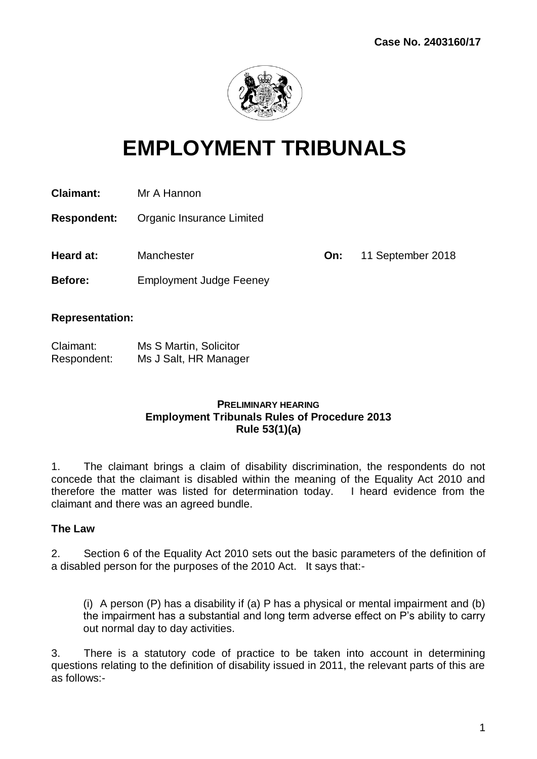

# **EMPLOYMENT TRIBUNALS**

**Claimant:** Mr A Hannon

**Respondent:** Organic Insurance Limited

**Heard at:** Manchester **On:** 11 September 2018

**Before:** Employment Judge Feeney

#### **Representation:**

| Claimant:   | Ms S Martin, Solicitor |
|-------------|------------------------|
| Respondent: | Ms J Salt, HR Manager  |

#### **PRELIMINARY HEARING Employment Tribunals Rules of Procedure 2013 Rule 53(1)(a)**

1. The claimant brings a claim of disability discrimination, the respondents do not concede that the claimant is disabled within the meaning of the Equality Act 2010 and therefore the matter was listed for determination today. I heard evidence from the claimant and there was an agreed bundle.

#### **The Law**

2. Section 6 of the Equality Act 2010 sets out the basic parameters of the definition of a disabled person for the purposes of the 2010 Act. It says that:-

(i) A person (P) has a disability if (a) P has a physical or mental impairment and (b) the impairment has a substantial and long term adverse effect on P's ability to carry out normal day to day activities.

3. There is a statutory code of practice to be taken into account in determining questions relating to the definition of disability issued in 2011, the relevant parts of this are as follows:-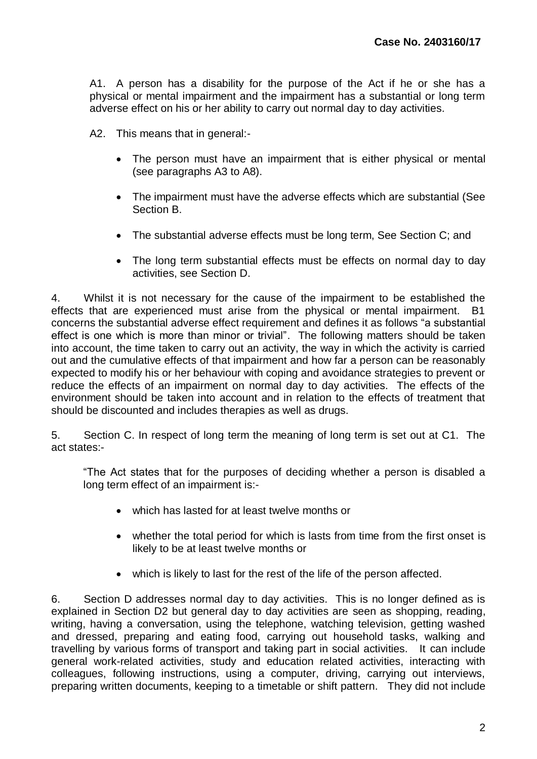A1. A person has a disability for the purpose of the Act if he or she has a physical or mental impairment and the impairment has a substantial or long term adverse effect on his or her ability to carry out normal day to day activities.

A2. This means that in general:-

- The person must have an impairment that is either physical or mental (see paragraphs A3 to A8).
- The impairment must have the adverse effects which are substantial (See Section B.
- The substantial adverse effects must be long term, See Section C; and
- The long term substantial effects must be effects on normal day to day activities, see Section D.

4. Whilst it is not necessary for the cause of the impairment to be established the effects that are experienced must arise from the physical or mental impairment. B1 concerns the substantial adverse effect requirement and defines it as follows "a substantial effect is one which is more than minor or trivial". The following matters should be taken into account, the time taken to carry out an activity, the way in which the activity is carried out and the cumulative effects of that impairment and how far a person can be reasonably expected to modify his or her behaviour with coping and avoidance strategies to prevent or reduce the effects of an impairment on normal day to day activities. The effects of the environment should be taken into account and in relation to the effects of treatment that should be discounted and includes therapies as well as drugs.

5. Section C. In respect of long term the meaning of long term is set out at C1. The act states:-

"The Act states that for the purposes of deciding whether a person is disabled a long term effect of an impairment is:-

- which has lasted for at least twelve months or
- whether the total period for which is lasts from time from the first onset is likely to be at least twelve months or
- which is likely to last for the rest of the life of the person affected.

6. Section D addresses normal day to day activities. This is no longer defined as is explained in Section D2 but general day to day activities are seen as shopping, reading, writing, having a conversation, using the telephone, watching television, getting washed and dressed, preparing and eating food, carrying out household tasks, walking and travelling by various forms of transport and taking part in social activities. It can include general work-related activities, study and education related activities, interacting with colleagues, following instructions, using a computer, driving, carrying out interviews, preparing written documents, keeping to a timetable or shift pattern. They did not include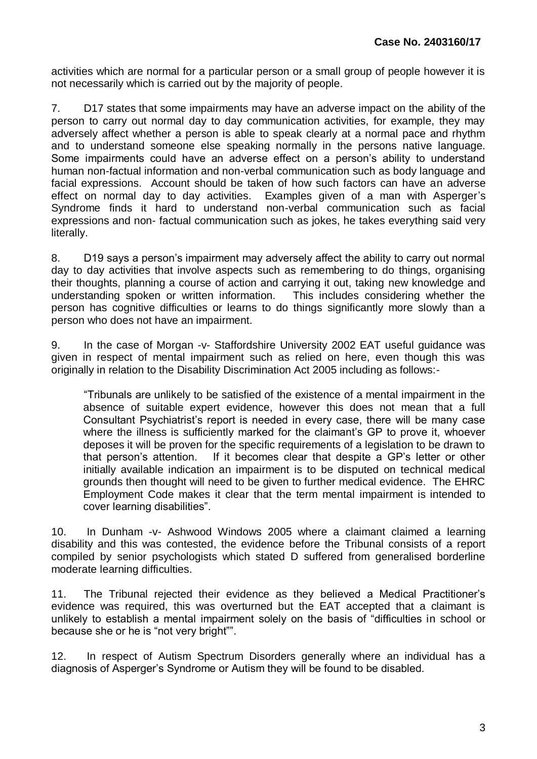activities which are normal for a particular person or a small group of people however it is not necessarily which is carried out by the majority of people.

7. D17 states that some impairments may have an adverse impact on the ability of the person to carry out normal day to day communication activities, for example, they may adversely affect whether a person is able to speak clearly at a normal pace and rhythm and to understand someone else speaking normally in the persons native language. Some impairments could have an adverse effect on a person's ability to understand human non-factual information and non-verbal communication such as body language and facial expressions. Account should be taken of how such factors can have an adverse effect on normal day to day activities. Examples given of a man with Asperger's Syndrome finds it hard to understand non-verbal communication such as facial expressions and non- factual communication such as jokes, he takes everything said very literally.

8. D19 says a person's impairment may adversely affect the ability to carry out normal day to day activities that involve aspects such as remembering to do things, organising their thoughts, planning a course of action and carrying it out, taking new knowledge and understanding spoken or written information. This includes considering whether the person has cognitive difficulties or learns to do things significantly more slowly than a person who does not have an impairment.

9. In the case of Morgan -v- Staffordshire University 2002 EAT useful guidance was given in respect of mental impairment such as relied on here, even though this was originally in relation to the Disability Discrimination Act 2005 including as follows:-

"Tribunals are unlikely to be satisfied of the existence of a mental impairment in the absence of suitable expert evidence, however this does not mean that a full Consultant Psychiatrist's report is needed in every case, there will be many case where the illness is sufficiently marked for the claimant's GP to prove it, whoever deposes it will be proven for the specific requirements of a legislation to be drawn to that person's attention. If it becomes clear that despite a GP's letter or other initially available indication an impairment is to be disputed on technical medical grounds then thought will need to be given to further medical evidence. The EHRC Employment Code makes it clear that the term mental impairment is intended to cover learning disabilities".

10. In Dunham -v- Ashwood Windows 2005 where a claimant claimed a learning disability and this was contested, the evidence before the Tribunal consists of a report compiled by senior psychologists which stated D suffered from generalised borderline moderate learning difficulties.

11. The Tribunal rejected their evidence as they believed a Medical Practitioner's evidence was required, this was overturned but the EAT accepted that a claimant is unlikely to establish a mental impairment solely on the basis of "difficulties in school or because she or he is "not very bright"".

12. In respect of Autism Spectrum Disorders generally where an individual has a diagnosis of Asperger's Syndrome or Autism they will be found to be disabled.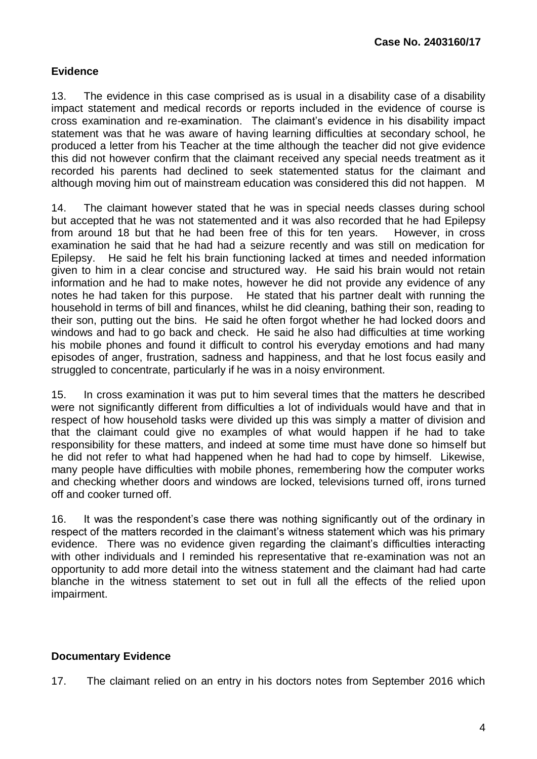# **Evidence**

13. The evidence in this case comprised as is usual in a disability case of a disability impact statement and medical records or reports included in the evidence of course is cross examination and re-examination. The claimant's evidence in his disability impact statement was that he was aware of having learning difficulties at secondary school, he produced a letter from his Teacher at the time although the teacher did not give evidence this did not however confirm that the claimant received any special needs treatment as it recorded his parents had declined to seek statemented status for the claimant and although moving him out of mainstream education was considered this did not happen. M

14. The claimant however stated that he was in special needs classes during school but accepted that he was not statemented and it was also recorded that he had Epilepsy from around 18 but that he had been free of this for ten years. However, in cross examination he said that he had had a seizure recently and was still on medication for Epilepsy. He said he felt his brain functioning lacked at times and needed information given to him in a clear concise and structured way. He said his brain would not retain information and he had to make notes, however he did not provide any evidence of any notes he had taken for this purpose. He stated that his partner dealt with running the household in terms of bill and finances, whilst he did cleaning, bathing their son, reading to their son, putting out the bins. He said he often forgot whether he had locked doors and windows and had to go back and check. He said he also had difficulties at time working his mobile phones and found it difficult to control his everyday emotions and had many episodes of anger, frustration, sadness and happiness, and that he lost focus easily and struggled to concentrate, particularly if he was in a noisy environment.

15. In cross examination it was put to him several times that the matters he described were not significantly different from difficulties a lot of individuals would have and that in respect of how household tasks were divided up this was simply a matter of division and that the claimant could give no examples of what would happen if he had to take responsibility for these matters, and indeed at some time must have done so himself but he did not refer to what had happened when he had had to cope by himself. Likewise, many people have difficulties with mobile phones, remembering how the computer works and checking whether doors and windows are locked, televisions turned off, irons turned off and cooker turned off.

16. It was the respondent's case there was nothing significantly out of the ordinary in respect of the matters recorded in the claimant's witness statement which was his primary evidence. There was no evidence given regarding the claimant's difficulties interacting with other individuals and I reminded his representative that re-examination was not an opportunity to add more detail into the witness statement and the claimant had had carte blanche in the witness statement to set out in full all the effects of the relied upon impairment.

# **Documentary Evidence**

17. The claimant relied on an entry in his doctors notes from September 2016 which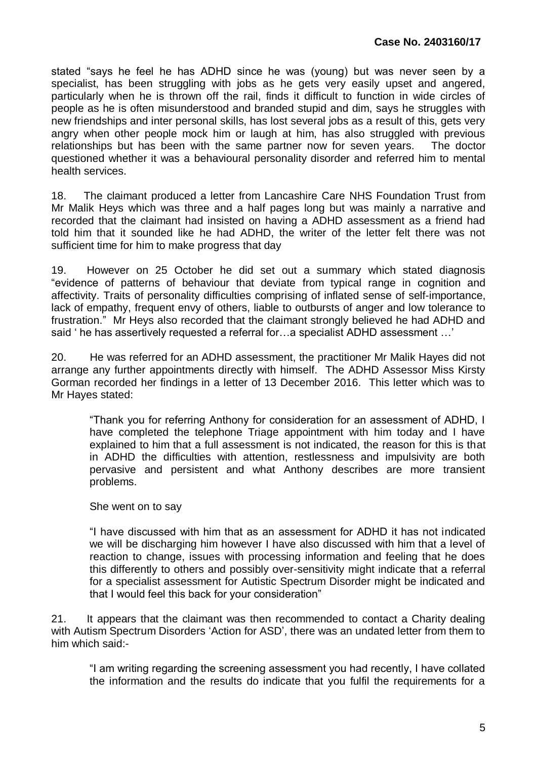stated "says he feel he has ADHD since he was (young) but was never seen by a specialist, has been struggling with jobs as he gets very easily upset and angered, particularly when he is thrown off the rail, finds it difficult to function in wide circles of people as he is often misunderstood and branded stupid and dim, says he struggles with new friendships and inter personal skills, has lost several jobs as a result of this, gets very angry when other people mock him or laugh at him, has also struggled with previous relationships but has been with the same partner now for seven years. The doctor questioned whether it was a behavioural personality disorder and referred him to mental health services.

18. The claimant produced a letter from Lancashire Care NHS Foundation Trust from Mr Malik Heys which was three and a half pages long but was mainly a narrative and recorded that the claimant had insisted on having a ADHD assessment as a friend had told him that it sounded like he had ADHD, the writer of the letter felt there was not sufficient time for him to make progress that day

19. However on 25 October he did set out a summary which stated diagnosis "evidence of patterns of behaviour that deviate from typical range in cognition and affectivity. Traits of personality difficulties comprising of inflated sense of self-importance, lack of empathy, frequent envy of others, liable to outbursts of anger and low tolerance to frustration." Mr Heys also recorded that the claimant strongly believed he had ADHD and said ' he has assertively requested a referral for…a specialist ADHD assessment …'

20. He was referred for an ADHD assessment, the practitioner Mr Malik Hayes did not arrange any further appointments directly with himself. The ADHD Assessor Miss Kirsty Gorman recorded her findings in a letter of 13 December 2016. This letter which was to Mr Hayes stated:

"Thank you for referring Anthony for consideration for an assessment of ADHD, I have completed the telephone Triage appointment with him today and I have explained to him that a full assessment is not indicated, the reason for this is that in ADHD the difficulties with attention, restlessness and impulsivity are both pervasive and persistent and what Anthony describes are more transient problems.

She went on to say

"I have discussed with him that as an assessment for ADHD it has not indicated we will be discharging him however I have also discussed with him that a level of reaction to change, issues with processing information and feeling that he does this differently to others and possibly over-sensitivity might indicate that a referral for a specialist assessment for Autistic Spectrum Disorder might be indicated and that I would feel this back for your consideration"

21. It appears that the claimant was then recommended to contact a Charity dealing with Autism Spectrum Disorders 'Action for ASD', there was an undated letter from them to him which said:-

"I am writing regarding the screening assessment you had recently, I have collated the information and the results do indicate that you fulfil the requirements for a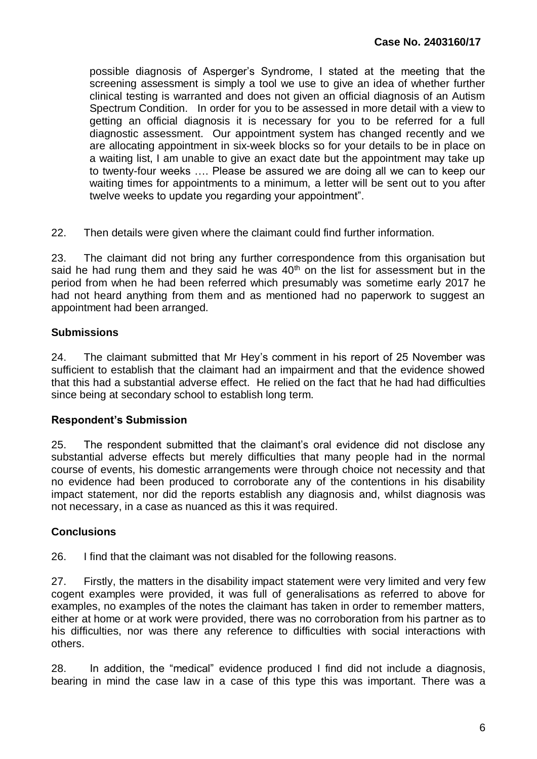possible diagnosis of Asperger's Syndrome, I stated at the meeting that the screening assessment is simply a tool we use to give an idea of whether further clinical testing is warranted and does not given an official diagnosis of an Autism Spectrum Condition. In order for you to be assessed in more detail with a view to getting an official diagnosis it is necessary for you to be referred for a full diagnostic assessment. Our appointment system has changed recently and we are allocating appointment in six-week blocks so for your details to be in place on a waiting list, I am unable to give an exact date but the appointment may take up to twenty-four weeks …. Please be assured we are doing all we can to keep our waiting times for appointments to a minimum, a letter will be sent out to you after twelve weeks to update you regarding your appointment".

22. Then details were given where the claimant could find further information.

23. The claimant did not bring any further correspondence from this organisation but said he had rung them and they said he was  $40<sup>th</sup>$  on the list for assessment but in the period from when he had been referred which presumably was sometime early 2017 he had not heard anything from them and as mentioned had no paperwork to suggest an appointment had been arranged.

#### **Submissions**

24. The claimant submitted that Mr Hey's comment in his report of 25 November was sufficient to establish that the claimant had an impairment and that the evidence showed that this had a substantial adverse effect. He relied on the fact that he had had difficulties since being at secondary school to establish long term.

# **Respondent's Submission**

25. The respondent submitted that the claimant's oral evidence did not disclose any substantial adverse effects but merely difficulties that many people had in the normal course of events, his domestic arrangements were through choice not necessity and that no evidence had been produced to corroborate any of the contentions in his disability impact statement, nor did the reports establish any diagnosis and, whilst diagnosis was not necessary, in a case as nuanced as this it was required.

# **Conclusions**

26. I find that the claimant was not disabled for the following reasons.

27. Firstly, the matters in the disability impact statement were very limited and very few cogent examples were provided, it was full of generalisations as referred to above for examples, no examples of the notes the claimant has taken in order to remember matters, either at home or at work were provided, there was no corroboration from his partner as to his difficulties, nor was there any reference to difficulties with social interactions with others.

28. In addition, the "medical" evidence produced I find did not include a diagnosis, bearing in mind the case law in a case of this type this was important. There was a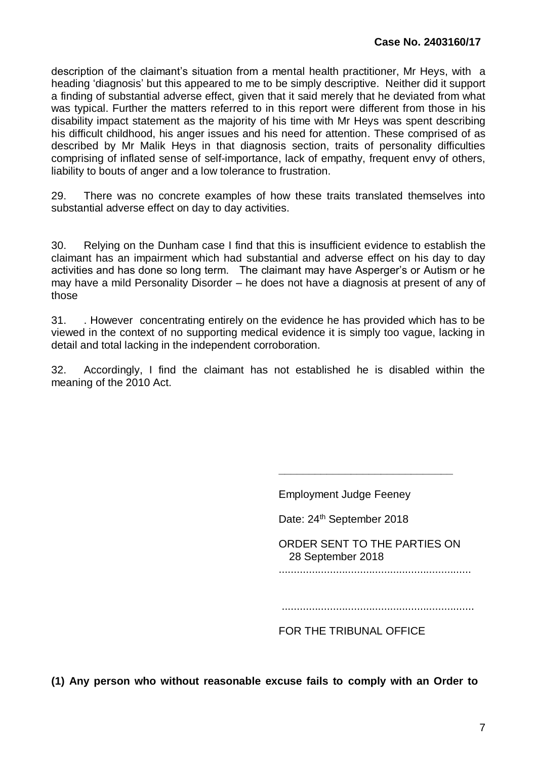description of the claimant's situation from a mental health practitioner, Mr Heys, with a heading 'diagnosis' but this appeared to me to be simply descriptive. Neither did it support a finding of substantial adverse effect, given that it said merely that he deviated from what was typical. Further the matters referred to in this report were different from those in his disability impact statement as the majority of his time with Mr Heys was spent describing his difficult childhood, his anger issues and his need for attention. These comprised of as described by Mr Malik Heys in that diagnosis section, traits of personality difficulties comprising of inflated sense of self-importance, lack of empathy, frequent envy of others, liability to bouts of anger and a low tolerance to frustration.

29. There was no concrete examples of how these traits translated themselves into substantial adverse effect on day to day activities.

30. Relying on the Dunham case I find that this is insufficient evidence to establish the claimant has an impairment which had substantial and adverse effect on his day to day activities and has done so long term. The claimant may have Asperger's or Autism or he may have a mild Personality Disorder – he does not have a diagnosis at present of any of those

31. . However concentrating entirely on the evidence he has provided which has to be viewed in the context of no supporting medical evidence it is simply too vague, lacking in detail and total lacking in the independent corroboration.

32. Accordingly, I find the claimant has not established he is disabled within the meaning of the 2010 Act.

Employment Judge Feeney

Date: 24<sup>th</sup> September 2018

ORDER SENT TO THE PARTIES ON 28 September 2018

**\_\_\_\_\_\_\_\_\_\_\_\_\_\_\_\_\_\_\_\_\_\_\_\_\_\_\_\_\_**

................................................................

................................................................

FOR THE TRIBUNAL OFFICE

**(1) Any person who without reasonable excuse fails to comply with an Order to**